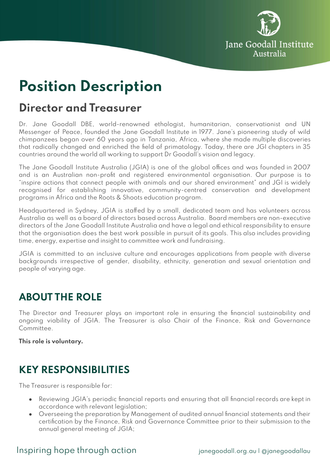

# **Position Description**

# **Director and Treasurer**

Dr. Jane Goodall DBE, world-renowned ethologist, humanitarian, conservationist and UN Messenger of Peace, founded the Jane Goodall Institute in 1977. Jane's pioneering study of wild chimpanzees began over 60 years ago in Tanzania, Africa, where she made multiple discoveries that radically changed and enriched the field of primatology. Today, there are JGI chapters in 35 countries around the world all working to support Dr Goodall's vision and legacy.

The Jane Goodall Institute Australia (JGIA) is one of the global offices and was founded in 2007 and is an Australian non-profit and registered environmental organisation. Our purpose is to "inspire actions that connect people with animals and our shared environment" and JGI is widely recognised for establishing innovative, community-centred conservation and development programs in Africa and the Roots & Shoots education program.

Headquartered in Sydney, JGIA is staffed by a small, dedicated team and has volunteers across Australia as well as a board of directors based across Australia. Board members are non-executive directors of the Jane Goodall Institute Australia and have a legal and ethical responsibility to ensure that the organisation does the best work possible in pursuit of its goals. This also includes providing time, energy, expertise and insight to committee work and fundraising.

JGIA is committed to an inclusive culture and encourages applications from people with diverse backgrounds irrespective of gender, disability, ethnicity, generation and sexual orientation and people of varying age.

### **ABOUT THE ROLE**

The Director and Treasurer plays an important role in ensuring the financial sustainability and ongoing viability of JGIA. The Treasurer is also Chair of the Finance, Risk and Governance Committee.

**This role is voluntary.**

# **KEY RESPONSIBILITIES**

The Treasurer is responsible for:

- Reviewing JGIA's periodic financial reports and ensuring that all financial records are kept in accordance with relevant legislation;
- Overseeing the preparation by Management of audited annual financial statements and their certification by the Finance, Risk and Governance Committee prior to their submission to the annual general meeting of JGIA;

#### Inspiring hope through action interval integrated in the sequence in paragoodal au loganegoodallau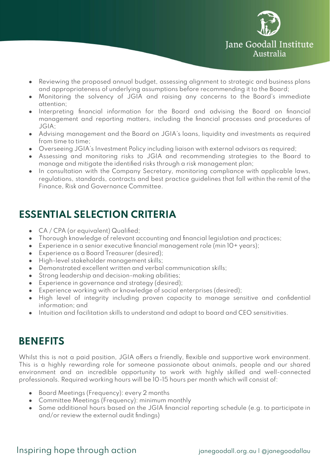

- Reviewing the proposed annual budget, assessing alignment to strategic and business plans and appropriateness of underlying assumptions before recommending it to the Board;
- Monitoring the solvency of JGIA and raising any concerns to the Board's immediate attention;
- Interpreting financial information for the Board and advising the Board on financial management and reporting matters, including the financial processes and procedures of JGIA;
- Advising management and the Board on JGIA's loans, liquidity and investments as required from time to time;
- Overseeing JGIA's Investment Policy including liaison with external advisors as required;
- Assessing and monitoring risks to JGIA and recommending strategies to the Board to manage and mitigate the identified risks through a risk management plan;
- In consultation with the Company Secretary, monitoring compliance with applicable laws, regulations, standards, contracts and best practice guidelines that fall within the remit of the Finance, Risk and Governance Committee.

# **ESSENTIAL SELECTION CRITERIA**

- CA / CPA (or equivalent) Qualified;
- Thorough knowledge of relevant accounting and financial legislation and practices;
- Experience in a senior executive financial management role (min 10+ years);
- Experience as a Board Treasurer (desired);
- High-level stakeholder management skills;
- Demonstrated excellent written and verbal communication skills;
- Strong leadership and decision-making abilities;
- Experience in governance and strategy (desired);
- Experience working with or knowledge of social enterprises (desired);
- High level of integrity including proven capacity to manage sensitive and confidential information; and
- Intuition and facilitation skills to understand and adapt to board and CEO sensitivities.

### **BENEFITS**

Whilst this is not a paid position, JGIA offers a friendly, flexible and supportive work environment. This is a highly rewarding role for someone passionate about animals, people and our shared environment and an incredible opportunity to work with highly skilled and well-connected professionals. Required working hours will be 10-15 hours per month which will consist of:

- Board Meetings (Frequency): every 2 months
- Committee Meetings (Frequency): minimum monthly
- Some additional hours based on the JGIA financial reporting schedule (e.g. to participate in and/or review the external audit findings)

#### Inspiring hope through action interval integrated in the sequence in paragoodal au loganegoodallau